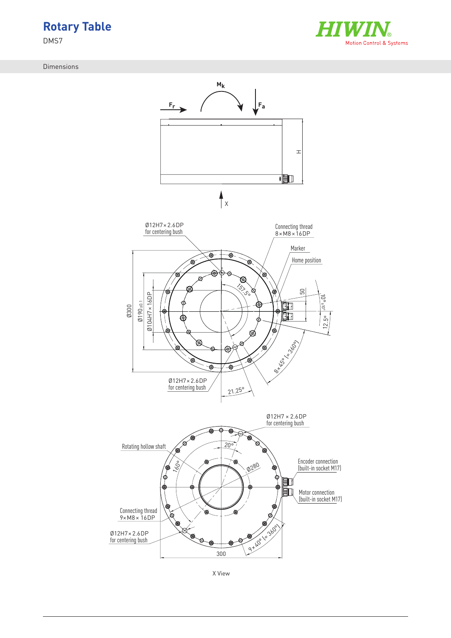

DMS7

Dimensions





X View